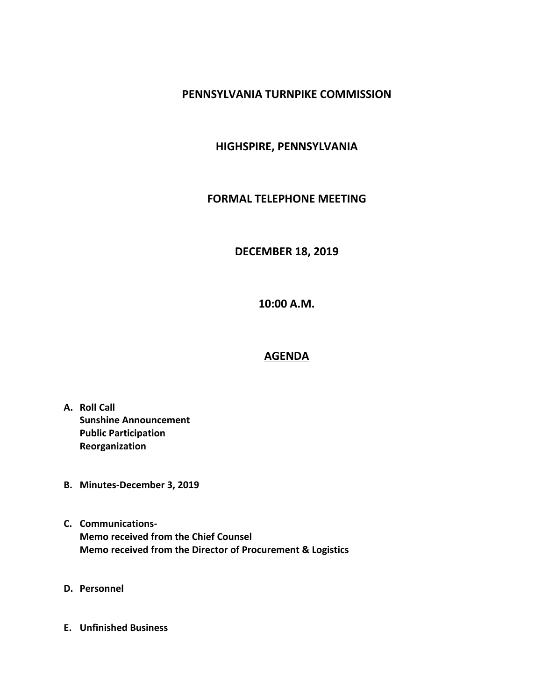## **PENNSYLVANIA TURNPIKE COMMISSION**

# **HIGHSPIRE, PENNSYLVANIA**

## **FORMAL TELEPHONE MEETING**

#### **DECEMBER 18, 2019**

**10:00 A.M.**

#### **AGENDA**

- **A. Roll Call Sunshine Announcement Public Participation Reorganization**
- **B. Minutes-December 3, 2019**
- **C. Communications-Memo received from the Chief Counsel Memo received from the Director of Procurement & Logistics**
- **D. Personnel**
- **E. Unfinished Business**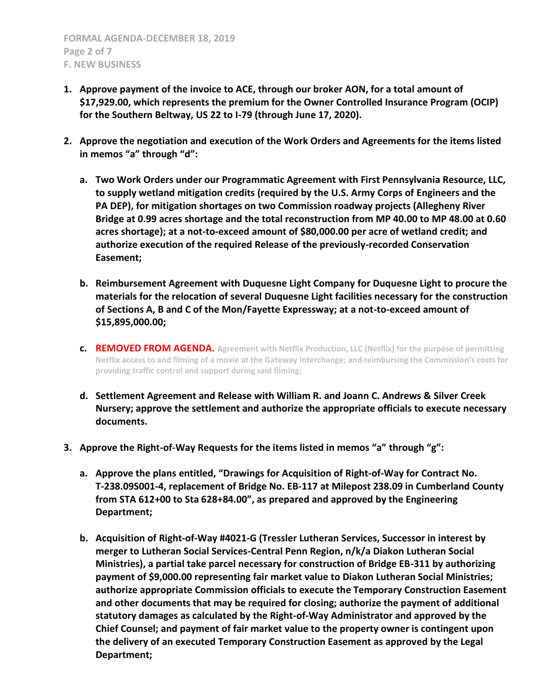- **1. Approve payment of the invoice to ACE, through our broker AON, for a total amount of \$17,929.00, which represents the premium for the Owner Controlled Insurance Program (OCIP) for the Southern Beltway, US 22 to I-79 (through June 17, 2020).**
- **2. Approve the negotiation and execution of the Work Orders and Agreements for the items listed in memos "a" through "d":**
	- **a. Two Work Orders under our Programmatic Agreement with First Pennsylvania Resource, LLC, to supply wetland mitigation credits (required by the U.S. Army Corps of Engineers and the PA DEP), for mitigation shortages on two Commission roadway projects (Allegheny River Bridge at 0.99 acres shortage and the total reconstruction from MP 40.00 to MP 48.00 at 0.60 acres shortage); at a not-to-exceed amount of \$80,000.00 per acre of wetland credit; and authorize execution of the required Release of the previously-recorded Conservation Easement;**
	- **b. Reimbursement Agreement with Duquesne Light Company for Duquesne Light to procure the materials for the relocation of several Duquesne Light facilities necessary for the construction of Sections A, B and C of the Mon/Fayette Expressway; at a not-to-exceed amount of \$15,895,000.00;**
	- **c. REMOVED FROM AGENDA. Agreement with Netflix Production, LLC (Netflix) for the purpose of permitting Netflix access to and filming of a movie at the Gateway Interchange; and reimbursing the Commission's costs for providing traffic control and support during said filming;**
	- **d. Settlement Agreement and Release with William R. and Joann C. Andrews & Silver Creek Nursery; approve the settlement and authorize the appropriate officials to execute necessary documents.**
- **3. Approve the Right-of-Way Requests for the items listed in memos "a" through "g":**
	- **a. Approve the plans entitled, "Drawings for Acquisition of Right-of-Way for Contract No. T-238.09S001-4, replacement of Bridge No. EB-117 at Milepost 238.09 in Cumberland County from STA 612+00 to Sta 628+84.00", as prepared and approved by the Engineering Department;**
	- **b. Acquisition of Right-of-Way #4021-G (Tressler Lutheran Services, Successor in interest by merger to Lutheran Social Services-Central Penn Region, n/k/a Diakon Lutheran Social Ministries), a partial take parcel necessary for construction of Bridge EB-311 by authorizing payment of \$9,000.00 representing fair market value to Diakon Lutheran Social Ministries; authorize appropriate Commission officials to execute the Temporary Construction Easement and other documents that may be required for closing; authorize the payment of additional statutory damages as calculated by the Right-of-Way Administrator and approved by the Chief Counsel; and payment of fair market value to the property owner is contingent upon the delivery of an executed Temporary Construction Easement as approved by the Legal Department;**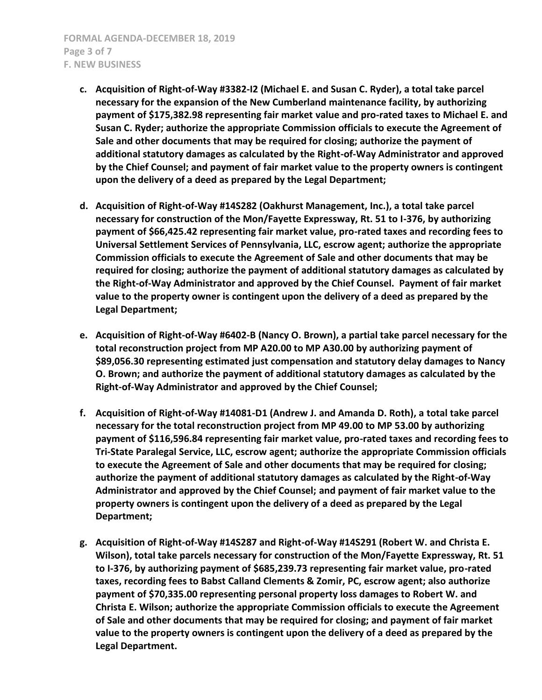- **c. Acquisition of Right-of-Way #3382-I2 (Michael E. and Susan C. Ryder), a total take parcel necessary for the expansion of the New Cumberland maintenance facility, by authorizing payment of \$175,382.98 representing fair market value and pro-rated taxes to Michael E. and Susan C. Ryder; authorize the appropriate Commission officials to execute the Agreement of Sale and other documents that may be required for closing; authorize the payment of additional statutory damages as calculated by the Right-of-Way Administrator and approved by the Chief Counsel; and payment of fair market value to the property owners is contingent upon the delivery of a deed as prepared by the Legal Department;**
- **d. Acquisition of Right-of-Way #14S282 (Oakhurst Management, Inc.), a total take parcel necessary for construction of the Mon/Fayette Expressway, Rt. 51 to I-376, by authorizing payment of \$66,425.42 representing fair market value, pro-rated taxes and recording fees to Universal Settlement Services of Pennsylvania, LLC, escrow agent; authorize the appropriate Commission officials to execute the Agreement of Sale and other documents that may be required for closing; authorize the payment of additional statutory damages as calculated by the Right-of-Way Administrator and approved by the Chief Counsel. Payment of fair market value to the property owner is contingent upon the delivery of a deed as prepared by the Legal Department;**
- **e. Acquisition of Right-of-Way #6402-B (Nancy O. Brown), a partial take parcel necessary for the total reconstruction project from MP A20.00 to MP A30.00 by authorizing payment of \$89,056.30 representing estimated just compensation and statutory delay damages to Nancy O. Brown; and authorize the payment of additional statutory damages as calculated by the Right-of-Way Administrator and approved by the Chief Counsel;**
- **f. Acquisition of Right-of-Way #14081-D1 (Andrew J. and Amanda D. Roth), a total take parcel necessary for the total reconstruction project from MP 49.00 to MP 53.00 by authorizing payment of \$116,596.84 representing fair market value, pro-rated taxes and recording fees to Tri-State Paralegal Service, LLC, escrow agent; authorize the appropriate Commission officials to execute the Agreement of Sale and other documents that may be required for closing; authorize the payment of additional statutory damages as calculated by the Right-of-Way Administrator and approved by the Chief Counsel; and payment of fair market value to the property owners is contingent upon the delivery of a deed as prepared by the Legal Department;**
- **g. Acquisition of Right-of-Way #14S287 and Right-of-Way #14S291 (Robert W. and Christa E. Wilson), total take parcels necessary for construction of the Mon/Fayette Expressway, Rt. 51 to I-376, by authorizing payment of \$685,239.73 representing fair market value, pro-rated taxes, recording fees to Babst Calland Clements & Zomir, PC, escrow agent; also authorize payment of \$70,335.00 representing personal property loss damages to Robert W. and Christa E. Wilson; authorize the appropriate Commission officials to execute the Agreement of Sale and other documents that may be required for closing; and payment of fair market value to the property owners is contingent upon the delivery of a deed as prepared by the Legal Department.**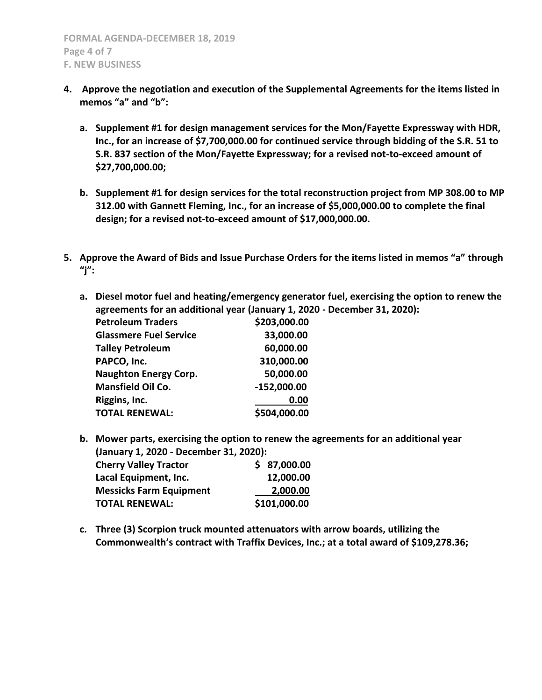- **4. Approve the negotiation and execution of the Supplemental Agreements for the items listed in memos "a" and "b":**
	- **a. Supplement #1 for design management services for the Mon/Fayette Expressway with HDR, Inc., for an increase of \$7,700,000.00 for continued service through bidding of the S.R. 51 to S.R. 837 section of the Mon/Fayette Expressway; for a revised not-to-exceed amount of \$27,700,000.00;**
	- **b. Supplement #1 for design services for the total reconstruction project from MP 308.00 to MP 312.00 with Gannett Fleming, Inc., for an increase of \$5,000,000.00 to complete the final design; for a revised not-to-exceed amount of \$17,000,000.00.**
- **5. Approve the Award of Bids and Issue Purchase Orders for the items listed in memos "a" through "j":**
	- **a. Diesel motor fuel and heating/emergency generator fuel, exercising the option to renew the agreements for an additional year (January 1, 2020 - December 31, 2020):**

| <b>Petroleum Traders</b>      | \$203,000.00  |
|-------------------------------|---------------|
| <b>Glassmere Fuel Service</b> | 33,000.00     |
| <b>Talley Petroleum</b>       | 60,000.00     |
| PAPCO, Inc.                   | 310,000.00    |
| <b>Naughton Energy Corp.</b>  | 50,000.00     |
| <b>Mansfield Oil Co.</b>      | $-152,000.00$ |
| Riggins, Inc.                 | 0.00          |
| <b>TOTAL RENEWAL:</b>         | \$504,000.00  |

**b. Mower parts, exercising the option to renew the agreements for an additional year (January 1, 2020 - December 31, 2020): Cherry Valley Tractor \$ 87,000.00 Lacal Equipment, Inc. 12,000.00**

| Latar Lyurphicht, Int.         | TT,UUU.UU    |
|--------------------------------|--------------|
| <b>Messicks Farm Equipment</b> | 2,000.00     |
| <b>TOTAL RENEWAL:</b>          | \$101,000.00 |

**c. Three (3) Scorpion truck mounted attenuators with arrow boards, utilizing the Commonwealth's contract with Traffix Devices, Inc.; at a total award of \$109,278.36;**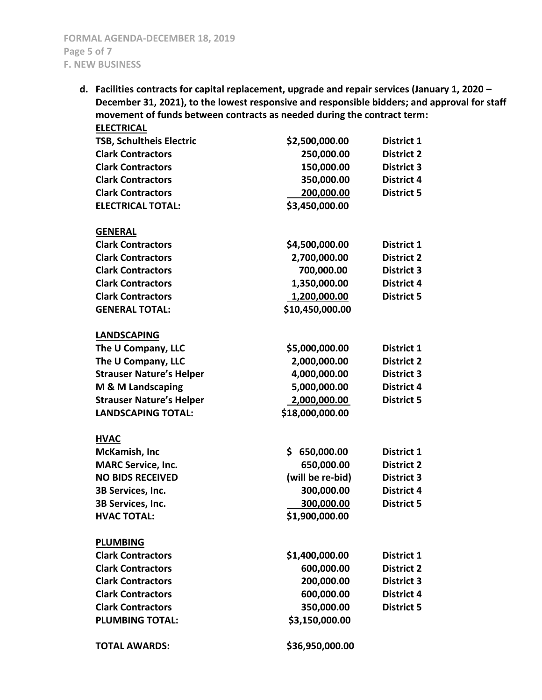**d. Facilities contracts for capital replacement, upgrade and repair services (January 1, 2020 – December 31, 2021), to the lowest responsive and responsible bidders; and approval for staff movement of funds between contracts as needed during the contract term: ELECTRICAL**

| \$2,500,000.00    | District 1        |
|-------------------|-------------------|
| 250,000.00        | <b>District 2</b> |
| 150,000.00        | <b>District 3</b> |
| 350,000.00        | <b>District 4</b> |
| 200,000.00        | <b>District 5</b> |
| \$3,450,000.00    |                   |
|                   |                   |
| \$4,500,000.00    | District 1        |
| 2,700,000.00      | <b>District 2</b> |
| 700,000.00        | <b>District 3</b> |
| 1,350,000.00      | <b>District 4</b> |
| 1,200,000.00      | <b>District 5</b> |
| \$10,450,000.00   |                   |
|                   |                   |
| \$5,000,000.00    | District 1        |
| 2,000,000.00      | <b>District 2</b> |
| 4,000,000.00      | <b>District 3</b> |
| 5,000,000.00      | <b>District 4</b> |
| 2,000,000.00      | <b>District 5</b> |
| \$18,000,000.00   |                   |
|                   |                   |
| \$.<br>650,000.00 | District 1        |
| 650,000.00        | <b>District 2</b> |
| (will be re-bid)  | <b>District 3</b> |
| 300,000.00        | <b>District 4</b> |
| 300,000.00        | <b>District 5</b> |
| \$1,900,000.00    |                   |
|                   |                   |
| \$1,400,000.00    | <b>District 1</b> |
| 600,000.00        | <b>District 2</b> |
| 200,000.00        | <b>District 3</b> |
| 600,000.00        | <b>District 4</b> |
| 350,000.00        | <b>District 5</b> |
| \$3,150,000.00    |                   |
| \$36,950,000.00   |                   |
|                   |                   |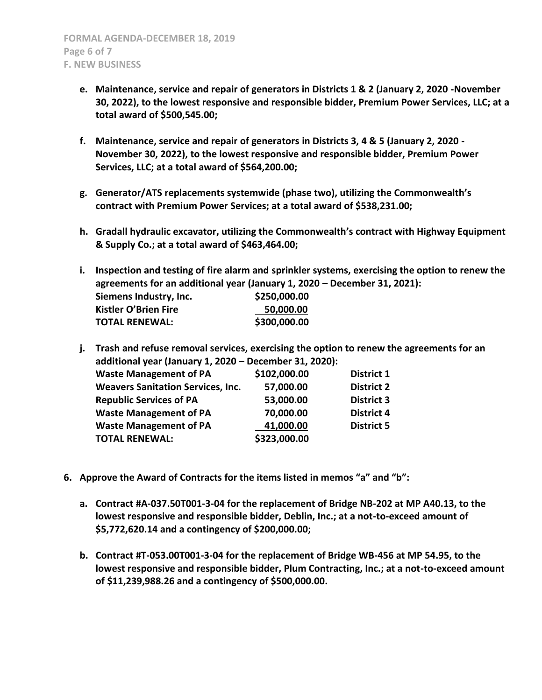- **e. Maintenance, service and repair of generators in Districts 1 & 2 (January 2, 2020 -November 30, 2022), to the lowest responsive and responsible bidder, Premium Power Services, LLC; at a total award of \$500,545.00;**
- **f. Maintenance, service and repair of generators in Districts 3, 4 & 5 (January 2, 2020 - November 30, 2022), to the lowest responsive and responsible bidder, Premium Power Services, LLC; at a total award of \$564,200.00;**
- **g. Generator/ATS replacements systemwide (phase two), utilizing the Commonwealth's contract with Premium Power Services; at a total award of \$538,231.00;**
- **h. Gradall hydraulic excavator, utilizing the Commonwealth's contract with Highway Equipment & Supply Co.; at a total award of \$463,464.00;**
- **i. Inspection and testing of fire alarm and sprinkler systems, exercising the option to renew the agreements for an additional year (January 1, 2020 – December 31, 2021): Siemens Industry, Inc. \$250,000.00 Kistler O'Brien Fire 50,000.00 TOTAL RENEWAL: \$300,000.00**

**j. Trash and refuse removal services, exercising the option to renew the agreements for an additional year (January 1, 2020 – December 31, 2020):**

| <b>Waste Management of PA</b>            | \$102,000.00 | District 1        |
|------------------------------------------|--------------|-------------------|
| <b>Weavers Sanitation Services, Inc.</b> | 57,000.00    | <b>District 2</b> |
| <b>Republic Services of PA</b>           | 53,000.00    | <b>District 3</b> |
| <b>Waste Management of PA</b>            | 70,000.00    | <b>District 4</b> |
| <b>Waste Management of PA</b>            | 41,000.00    | <b>District 5</b> |
| <b>TOTAL RENEWAL:</b>                    | \$323,000.00 |                   |
|                                          |              |                   |

- **6. Approve the Award of Contracts for the items listed in memos "a" and "b":**
	- **a. Contract #A-037.50T001-3-04 for the replacement of Bridge NB-202 at MP A40.13, to the lowest responsive and responsible bidder, Deblin, Inc.; at a not-to-exceed amount of \$5,772,620.14 and a contingency of \$200,000.00;**
	- **b. Contract #T-053.00T001-3-04 for the replacement of Bridge WB-456 at MP 54.95, to the lowest responsive and responsible bidder, Plum Contracting, Inc.; at a not-to-exceed amount of \$11,239,988.26 and a contingency of \$500,000.00.**